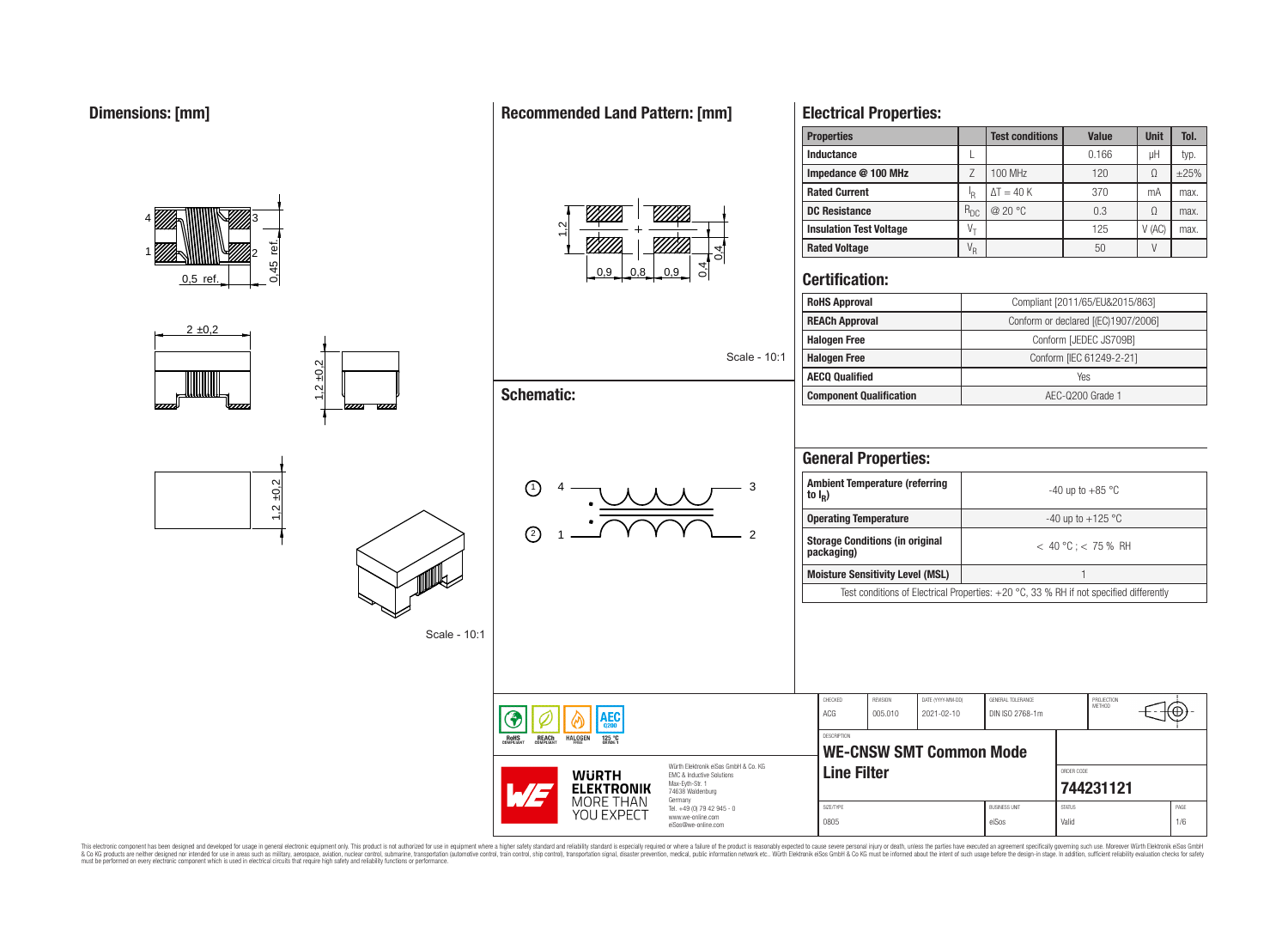

## **Recommended Land Pattern: [mm]**



## **Electrical Properties:**

| <b>Properties</b>              |            | <b>Test conditions</b> | Value | <b>Unit</b> | Tol. |
|--------------------------------|------------|------------------------|-------|-------------|------|
| Inductance                     |            |                        | 0.166 | μH          | typ. |
| Impedance @ 100 MHz            |            | 100 MHz                | 120   | Ω           | ±25% |
| <b>Rated Current</b>           | ΙR         | $\Delta T = 40 K$      | 370   | mA          | max. |
| <b>DC Resistance</b>           | $R_{DC}$   | @ $20 °C$              | 0.3   | Ω           | max. |
| <b>Insulation Test Voltage</b> | $V_{\tau}$ |                        | 125   | V(AC)       | max. |
| <b>Rated Voltage</b>           | $V_R$      |                        | 50    |             |      |

## **Certification:**

Scale - 10:1

2

| <b>RoHS Approval</b>           | Compliant [2011/65/EU&2015/863]     |
|--------------------------------|-------------------------------------|
| <b>REACh Approval</b>          | Conform or declared [(EC)1907/2006] |
| <b>Halogen Free</b>            | Conform [JEDEC JS709B]              |
| <b>Halogen Free</b>            | Conform [IEC 61249-2-21]            |
| <b>AECQ Qualified</b>          | Yes                                 |
| <b>Component Qualification</b> | AEC-Q200 Grade 1                    |

## **General Properties:**

| <b>Ambient Temperature (referring</b><br>to $I_R$ )                                      | $-40$ up to $+85$ °C    |  |  |  |  |  |
|------------------------------------------------------------------------------------------|-------------------------|--|--|--|--|--|
| <b>Operating Temperature</b>                                                             | -40 up to $+125$ °C     |  |  |  |  |  |
| <b>Storage Conditions (in original</b><br>packaging)                                     | $< 40 °C$ : $< 75 %$ RH |  |  |  |  |  |
| <b>Moisture Sensitivity Level (MSL)</b>                                                  |                         |  |  |  |  |  |
| Test conditions of Electrical Properties: $+20$ °C, 33 % RH if not specified differently |                         |  |  |  |  |  |

| <b>AEC</b>                                                                                                                                               | CHECKED<br>ACG     | REVISION<br>005.010            | DATE (YYYY-MM-DD)<br>2021-02-10 | GENERAL TOLERANCE<br>DIN ISO 2768-1m | PROJECTION<br>METHOD   |                         | ᡕ᠊ᡦ         |  |  |
|----------------------------------------------------------------------------------------------------------------------------------------------------------|--------------------|--------------------------------|---------------------------------|--------------------------------------|------------------------|-------------------------|-------------|--|--|
| 0200<br>IS<br>JANT<br>125 °C<br>GRADE 1<br><b>REACH</b><br>COMPLIANT<br><b>HALOGEN</b>                                                                   | <b>DESCRIPTION</b> | <b>WE-CNSW SMT Common Mode</b> |                                 |                                      |                        |                         |             |  |  |
| Würth Elektronik eiSos GmbH & Co. KG<br><b>WURTH</b><br>EMC & Inductive Solutions<br>Max-Eyth-Str. 1<br><b>ELEKTRONIK</b><br>74638 Waldenburg<br>Germany |                    | <b>Line Filter</b>             |                                 |                                      |                        | ORDER CODE<br>744231121 |             |  |  |
| MORE THAN<br>Tel. +49 (0) 79 42 945 - 0<br>YOU EXPECT<br>www.we-online.com<br>eiSos@we-online.com                                                        | SIZE/TYPE<br>0805  | <b>BUSINESS UNIT</b><br>eiSos  |                                 |                                      | <b>STATUS</b><br>Valid |                         | PAGE<br>1/6 |  |  |

This electronic component has been designed and developed for usage in general electronic equipment only. This product is not authorized for subserved requipment where a higher selection equipment where a higher selection

г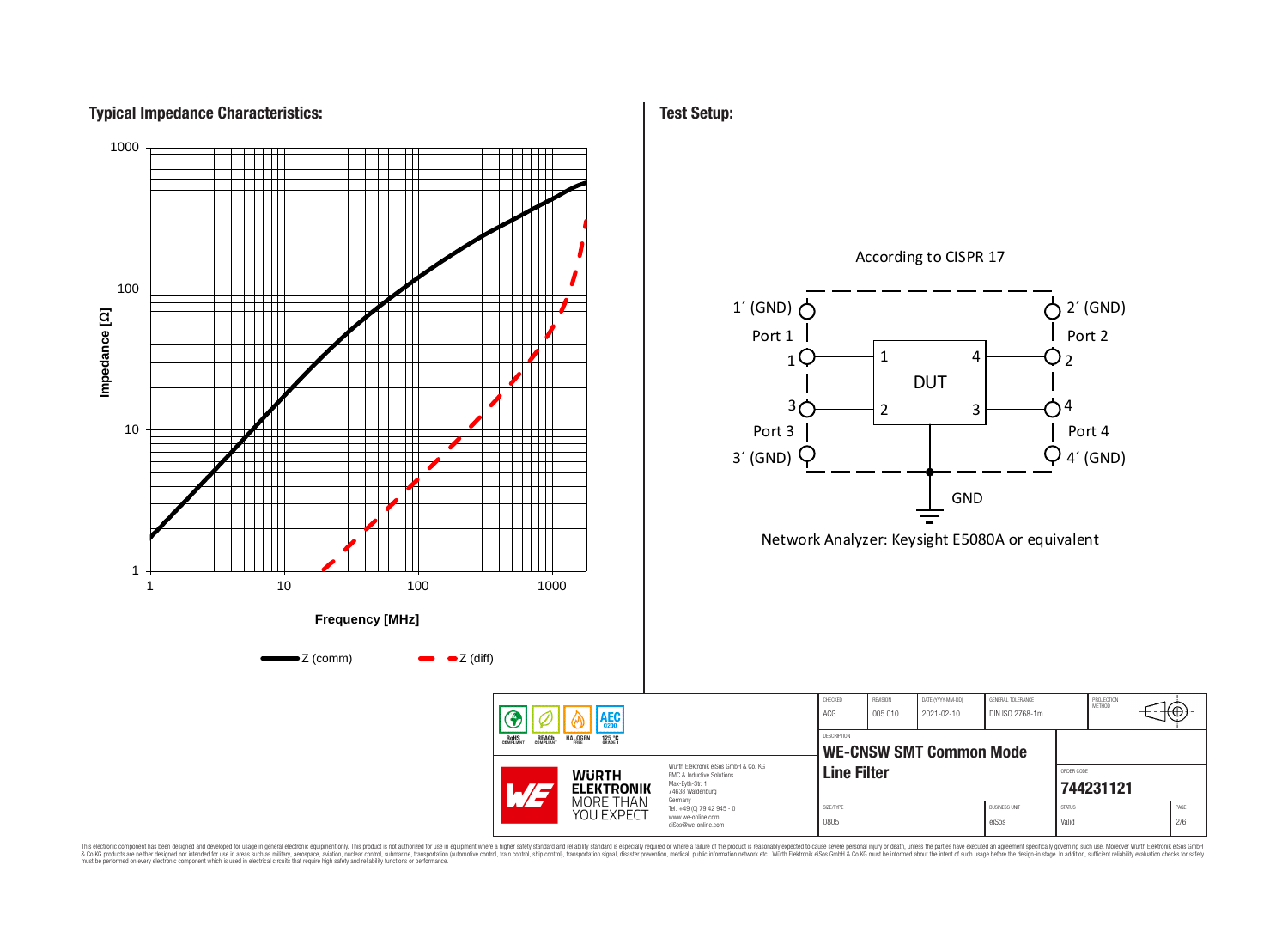# **Typical Impedance Characteristics:**



**Test Setup:**

This electronic component has been designed and developed for usage in general electronic equipment only. This product is not authorized for use in equipment where a higher safely standard and reliability standard si espec & Ook product a label and the membed of the seasuch as marked and as which such a membed and the such assume that income in the seasuch and the simulation and the such assume that include to the such a membed and the such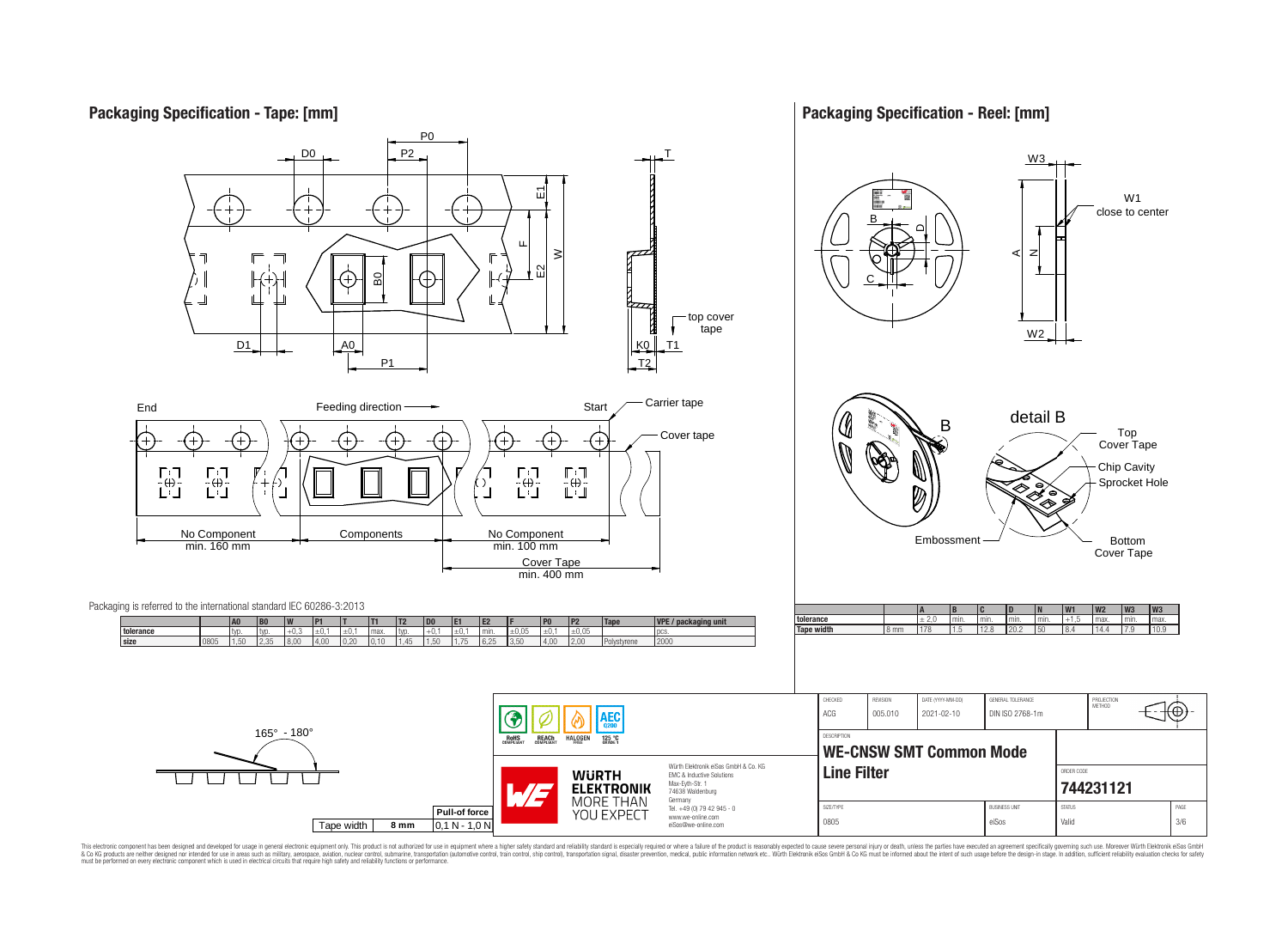## **Packaging Specification - Tape: [mm]**

**Packaging Specification - Reel: [mm]**



This electronic component has been designed and developed for usage in general electronic equipment only. This product is not authorized for use in equipment where a higher safely standard and reliability standard si espec & Ook product a label and the membed of the seasuch as marked and as which such a membed and the such assume that income in the seasuch and the simulation and the such assume that include to the such a membed and the such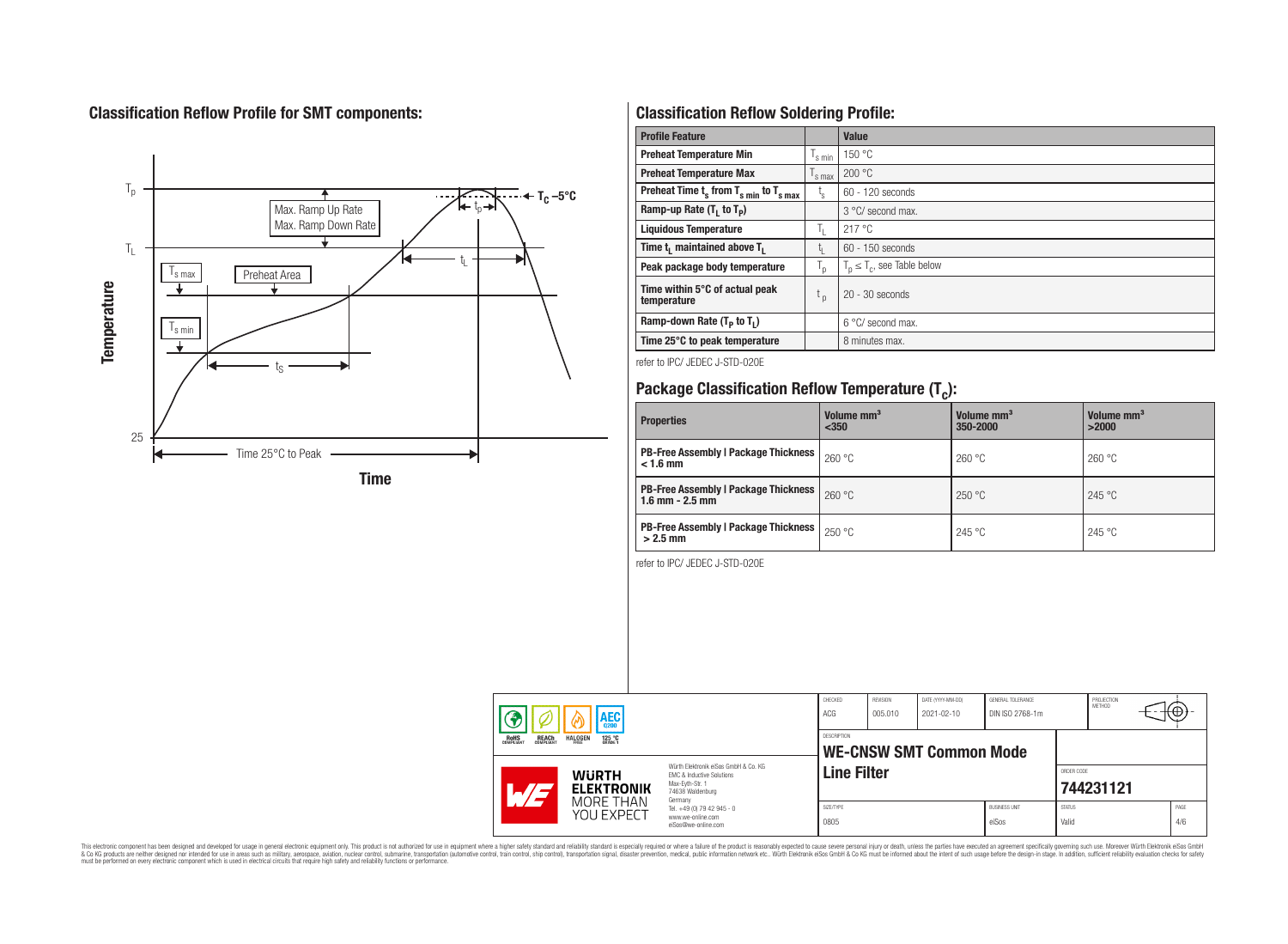# **Classification Reflow Profile for SMT components:**



# **Classification Reflow Soldering Profile:**

| <b>Profile Feature</b>                              |                    | Value                            |
|-----------------------------------------------------|--------------------|----------------------------------|
| <b>Preheat Temperature Min</b>                      | 's min             | 150 °C                           |
| <b>Preheat Temperature Max</b>                      | <sup>I</sup> s max | 200 °C                           |
| Preheat Time $t_s$ from $T_{s min}$ to $T_{s max}$  | t,                 | 60 - 120 seconds                 |
| Ramp-up Rate $(T_1$ to $T_p)$                       |                    | 3 °C/ second max.                |
| <b>Liquidous Temperature</b>                        | T <sub>L</sub>     | 217 °C                           |
| Time t <sub>i</sub> maintained above T <sub>1</sub> | t,                 | $60 - 150$ seconds               |
| Peak package body temperature                       | ' p                | $T_p \leq T_c$ , see Table below |
| Time within 5°C of actual peak<br>temperature       | t <sub>p</sub>     | $20 - 30$ seconds                |
| Ramp-down Rate $(T_p$ to $T_1$ )                    |                    | 6 °C/ second max.                |
| Time 25°C to peak temperature                       |                    | 8 minutes max.                   |

refer to IPC/ JEDEC J-STD-020E

# **Package Classification Reflow Temperature (T<sup>c</sup> ):**

| <b>Properties</b>                                                    | Volume mm <sup>3</sup><br>$350$ | Volume mm <sup>3</sup><br>350-2000 | Volume mm <sup>3</sup><br>>2000 |
|----------------------------------------------------------------------|---------------------------------|------------------------------------|---------------------------------|
| <b>PB-Free Assembly   Package Thickness  </b><br>$< 1.6$ mm          | 260 °C                          | 260 °C                             | 260 °C                          |
| <b>PB-Free Assembly   Package Thickness  </b><br>$1.6$ mm $- 2.5$ mm | 260 °C                          | 250 °C                             | 245 °C                          |
| <b>PB-Free Assembly   Package Thickness  </b><br>$>2.5$ mm           | 250 °C                          | 245 °C                             | 245 °C                          |

refer to IPC/ JEDEC J-STD-020E

|                                                       | <b>AEC</b>                        |                                                                                                                     | CHECKED<br><b>ACG</b> | REVISION<br>005.010 | DATE (YYYY-MM-DD)<br>2021-02-10 | GENERAL TOLERANCE<br>DIN ISO 2768-1m |                        | PROJECTION<br><b>METHOD</b> | ₩           |
|-------------------------------------------------------|-----------------------------------|---------------------------------------------------------------------------------------------------------------------|-----------------------|---------------------|---------------------------------|--------------------------------------|------------------------|-----------------------------|-------------|
| <b>REACH</b><br>COMPLIANT<br><b>ROHS</b><br>COMPLIANT | <b>HALOGEN</b><br>125 °C          |                                                                                                                     | <b>DESCRIPTION</b>    |                     | <b>WE-CNSW SMT Common Mode</b>  |                                      |                        |                             |             |
|                                                       | <b>WURTH</b><br><b>ELEKTRONIK</b> | Würth Flektronik eiSos GmbH & Co. KG<br>EMC & Inductive Solutions<br>Max-Evth-Str. 1<br>74638 Waldenburg<br>Germany | <b>Line Filter</b>    |                     |                                 |                                      | ORDER CODE             | 744231121                   |             |
|                                                       | MORE THAN<br>YOU EXPECT           | Tel. +49 (0) 79 42 945 - 0<br>www.we-online.com<br>eiSos@we-online.com                                              | SIZE/TYPE<br>0805     |                     |                                 | <b>BUSINESS UNIT</b><br>eiSos        | <b>STATUS</b><br>Valid |                             | PAGE<br>4/6 |

This electronic component has been designed and developed for usage in general electronic equipment only. This product is not authorized for subserved requipment where a higher selection equipment where a higher selection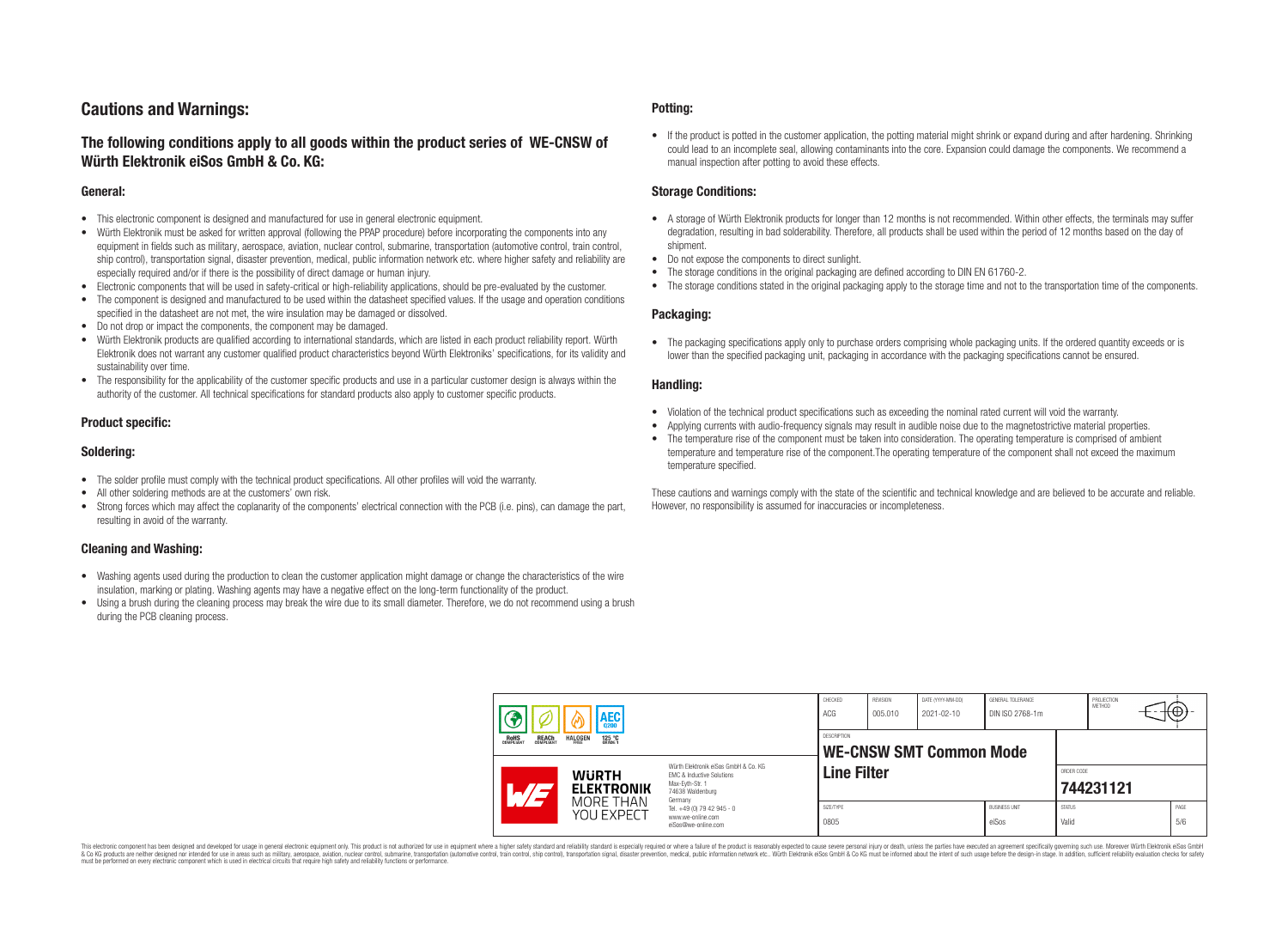## **Cautions and Warnings:**

## **The following conditions apply to all goods within the product series of WE-CNSW of Würth Elektronik eiSos GmbH & Co. KG:**

#### **General:**

- This electronic component is designed and manufactured for use in general electronic equipment.
- Würth Elektronik must be asked for written approval (following the PPAP procedure) before incorporating the components into any equipment in fields such as military, aerospace, aviation, nuclear control, submarine, transportation (automotive control, train control, ship control), transportation signal, disaster prevention, medical, public information network etc. where higher safety and reliability are especially required and/or if there is the possibility of direct damage or human injury.
- Electronic components that will be used in safety-critical or high-reliability applications, should be pre-evaluated by the customer.
- The component is designed and manufactured to be used within the datasheet specified values. If the usage and operation conditions specified in the datasheet are not met, the wire insulation may be damaged or dissolved.
- Do not drop or impact the components, the component may be damaged.
- Würth Elektronik products are qualified according to international standards, which are listed in each product reliability report. Würth Elektronik does not warrant any customer qualified product characteristics beyond Würth Elektroniks' specifications, for its validity and sustainability over time.
- The responsibility for the applicability of the customer specific products and use in a particular customer design is always within the authority of the customer. All technical specifications for standard products also apply to customer specific products.

#### **Product specific:**

#### **Soldering:**

- The solder profile must comply with the technical product specifications. All other profiles will void the warranty.
- All other soldering methods are at the customers' own risk.
- Strong forces which may affect the coplanarity of the components' electrical connection with the PCB (i.e. pins), can damage the part, resulting in avoid of the warranty.

#### **Cleaning and Washing:**

- Washing agents used during the production to clean the customer application might damage or change the characteristics of the wire insulation, marking or plating. Washing agents may have a negative effect on the long-term functionality of the product.
- Using a brush during the cleaning process may break the wire due to its small diameter. Therefore, we do not recommend using a brush during the PCB cleaning process.

#### **Potting:**

• If the product is potted in the customer application, the potting material might shrink or expand during and after hardening. Shrinking could lead to an incomplete seal, allowing contaminants into the core. Expansion could damage the components. We recommend a manual inspection after potting to avoid these effects.

#### **Storage Conditions:**

- A storage of Würth Elektronik products for longer than 12 months is not recommended. Within other effects, the terminals may suffer degradation, resulting in bad solderability. Therefore, all products shall be used within the period of 12 months based on the day of shipment.
- Do not expose the components to direct sunlight.
- The storage conditions in the original packaging are defined according to DIN EN 61760-2.
- The storage conditions stated in the original packaging apply to the storage time and not to the transportation time of the components.

#### **Packaging:**

• The packaging specifications apply only to purchase orders comprising whole packaging units. If the ordered quantity exceeds or is lower than the specified packaging unit, packaging in accordance with the packaging specifications cannot be ensured.

#### **Handling:**

- Violation of the technical product specifications such as exceeding the nominal rated current will void the warranty.
- Applying currents with audio-frequency signals may result in audible noise due to the magnetostrictive material properties.
- The temperature rise of the component must be taken into consideration. The operating temperature is comprised of ambient temperature and temperature rise of the component.The operating temperature of the component shall not exceed the maximum temperature specified.

These cautions and warnings comply with the state of the scientific and technical knowledge and are believed to be accurate and reliable. However, no responsibility is assumed for inaccuracies or incompleteness.

|                                                                                              |                                   | <b>AEC</b>                                           |                                                                                                                     | CHECKED<br>ACG     | REVISION<br>005.010 | DATE (YYYY-MM-DD)<br>2021-02-10 | GENERAL TOLERANCE<br>DIN ISO 2768-1m |                        | PROJECTION<br><b>METHOD</b> |  | ₩Ψ          |
|----------------------------------------------------------------------------------------------|-----------------------------------|------------------------------------------------------|---------------------------------------------------------------------------------------------------------------------|--------------------|---------------------|---------------------------------|--------------------------------------|------------------------|-----------------------------|--|-------------|
| <b>ROHS</b><br>COMPLIANT<br><b>REACH</b><br>COMPLIANT<br><b>HALOGEN</b><br>125 °C<br>GRADE 1 |                                   | <b>DESCRIPTION</b><br><b>WE-CNSW SMT Common Mode</b> |                                                                                                                     |                    |                     |                                 |                                      |                        |                             |  |             |
|                                                                                              | <b>WURTH</b><br><b>ELEKTRONIK</b> |                                                      | Würth Elektronik eiSos GmbH & Co. KG<br>EMC & Inductive Solutions<br>Max-Eyth-Str. 1<br>74638 Waldenburg<br>Germany | <b>Line Filter</b> |                     |                                 |                                      | ORDER CODE             | 744231121                   |  |             |
|                                                                                              |                                   | MORE THAN<br>YOU EXPECT                              | Tel. +49 (0) 79 42 945 - 0<br>www.we-online.com<br>eiSos@we-online.com                                              | SIZE/TYPE<br>0805  |                     |                                 | <b>BUSINESS UNIT</b><br>eiSos        | <b>STATUS</b><br>Valid |                             |  | PAGE<br>5/6 |

This electronic component has been designed and developed for usage in general electronic equipment only. This product is not authorized for use in equipment where a higher safety standard and reliability standard si espec & Ook product a label and the membed of the seasuch as marked and as which such a membed and the such assume that income in the seasuch and the simulation and the such assume that include to the such a membed and the such